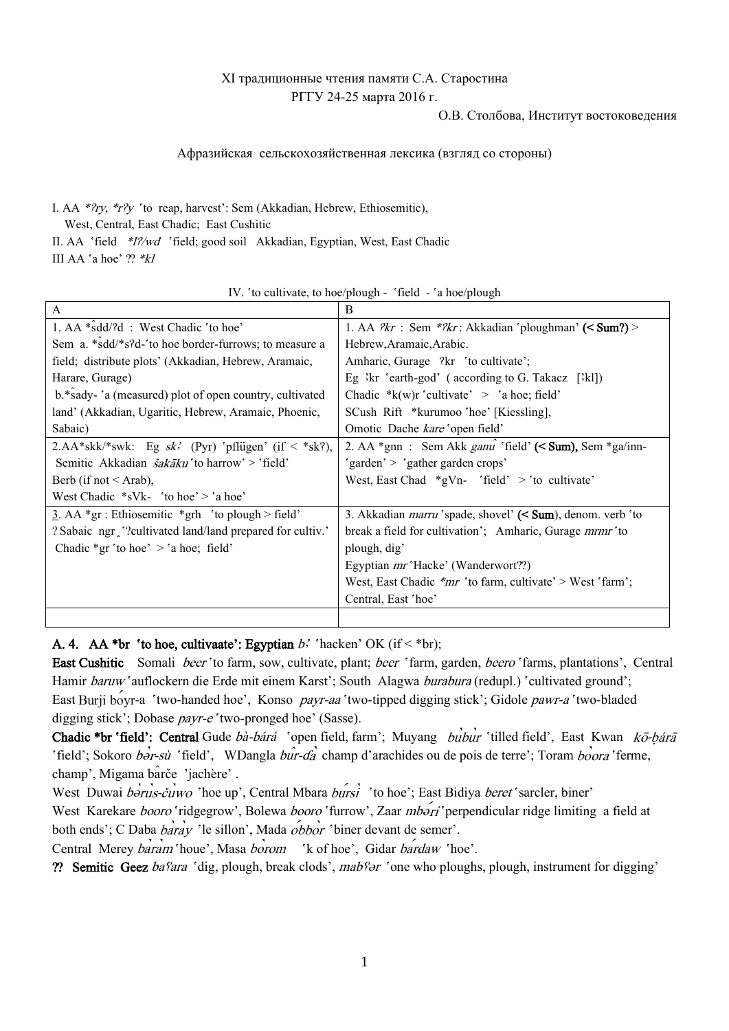# XI традиционные чтения памяти С.А. Старостина РГГУ 24-25 марта 2016 г.

#### О.В. Столбова, Институт востоковедения

#### Афразийская сельскохозяйственная лексика (взгляд со стороны)

I. AA \*?ry, \*r?y 'to reap, harvest': Sem (Akkadian, Hebrew, Ethiosemitic),

West, Central, East Chadic; East Cushitic

II. AA 'field \*1?/wd 'field; good soil Akkadian, Egyptian, West, East Chadic

III AA `a hoe' ?? \*kl

| A                                                                | B                                                                            |
|------------------------------------------------------------------|------------------------------------------------------------------------------|
| 1. AA *sdd/?d : West Chadic 'to hoe'                             | 1. AA $\frac{2}{Kr}$ : Sem $\frac{*2}{Kr}$ : Akkadian 'ploughman' (< Sum?) > |
| Sem a. *sdd/*s?d-'to hoe border-furrows; to measure a            | Hebrew, Aramaic, Arabic.                                                     |
| field; distribute plots' (Akkadian, Hebrew, Aramaic,             | Amharic, Gurage ?kr 'to cultivate';                                          |
| Harare, Gurage)                                                  | Eg $\exists$ kr 'earth-god' (according to G. Takacz [ $\exists$ kl])         |
| b.*sady-'a (measured) plot of open country, cultivated           | Chadic $*_{k(w)r}$ 'cultivate' > 'a hoe; field'                              |
| land' (Akkadian, Ugaritic, Hebrew, Aramaic, Phoenic,             | SCush Rift *kurumoo 'hoe' [Kiessling],                                       |
| Sabaic)                                                          | Omotic Dache kare 'open field'                                               |
| 2.AA*skk/*swk: Eg sk' (Pyr) 'pflügen' (if < *sk?),               | 2. AA $*_{gnn}$ : Sem Akk <i>ganu</i> 'field' (< Sum), Sem $*_{ga/inn}$ -    |
| Semitic Akkadian <i>šakāku</i> 'to harrow' > 'field'             | 'garden' > 'gather garden crops'                                             |
| Berb (if not $\leq$ Arab),                                       | West, East Chad $*gVn$ - 'field' > 'to cultivate'                            |
| West Chadic $*sVk$ - 'to hoe' > 'a hoe'                          |                                                                              |
| $\underline{3}$ . AA *gr : Ethiosemitic *grh 'to plough > field' | 3. Akkadian <i>marru</i> 'spade, shovel' (< Sum), denom. verb 'to            |
| ? Sabaic ngr '?cultivated land/land prepared for cultiv.'        | break a field for cultivation'; Amharic, Gurage mrmr'to                      |
| Chadic *gr 'to hoe' > 'a hoe; field'                             | plough, dig'                                                                 |
|                                                                  | Egyptian <i>mr</i> 'Hacke' (Wanderwort??)                                    |
|                                                                  | West, East Chadic $*mr$ 'to farm, cultivate' > West 'farm';                  |
|                                                                  | Central, East 'hoe'                                                          |
|                                                                  |                                                                              |

IV. `to cultivate, to hoe/plough - `field - `a hoe/plough

A. 4. AA \*br 'to hoe, cultivaate': Egyptian  $b$ ; 'hacken' OK (if < \*br);

East Cushitic Somali beer 'to farm, sow, cultivate, plant; beer 'farm, garden, beero 'farms, plantations', Central Hamir baruw 'auflockern die Erde mit einem Karst'; South Alagwa burabura (redupl.) 'cultivated ground'; East Burji boyr-a 'two-handed hoe', Konso payr-aa 'two-tipped digging stick'; Gidole pawr-a 'two-bladed digging stick'; Dobase *payr-e* 'two-pronged hoe' (Sasse).

Chadic \*br 'field': Central Gude bà-bárá 'open field, farm'; Muyang bubur 'tilled field', East Kwan kō-bárā 'field'; Sokoro bor-sù 'field', WDangla bur-da champ d'arachides ou de pois de terre'; Toram boora 'ferme, champ', Migama barce 'jachere' .

West Duwai borus-cuwo 'hoe up', Central Mbara bursi' 'to hoe'; East Bidiya beret 'sarcler, biner'

West Karekare booro 'ridgegrow', Bolewa booro 'furrow', Zaar mbori 'perpendicular ridge limiting a field at both ends'; C Daba baray 'le sillon', Mada obbor 'biner devant de semer'.

Central Merey baram 'houe', Masa borom 'k of hoe', Gidar bardaw 'hoe'.

?? Semitic Geez basara 'dig, plough, break clods', mabsor 'one who ploughs, plough, instrument for digging'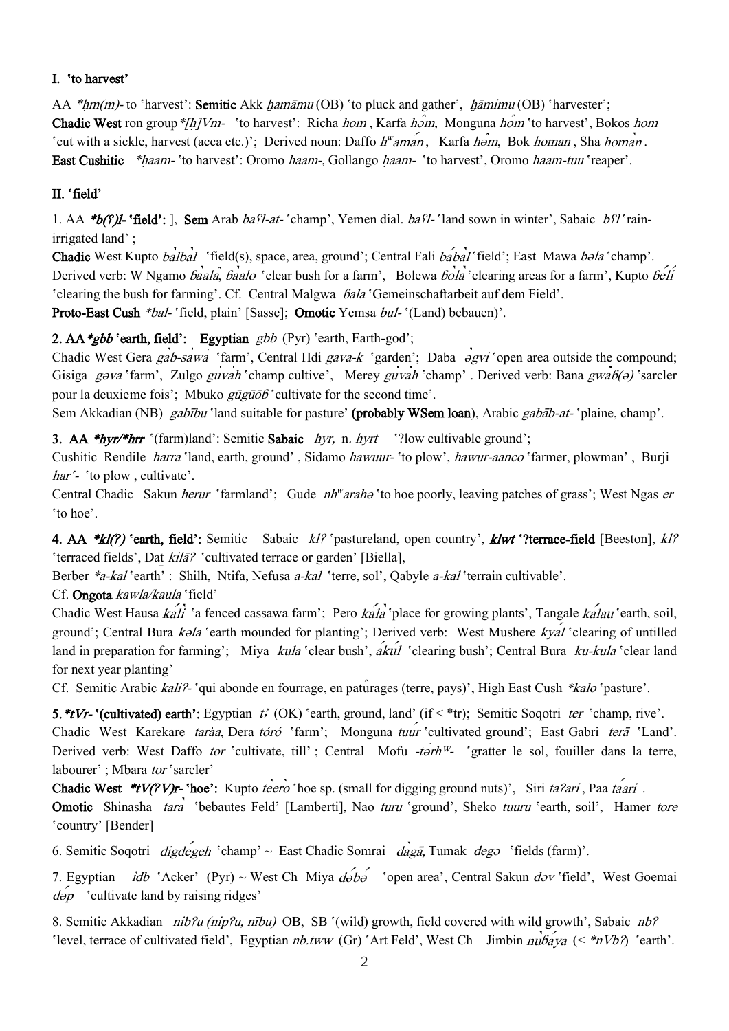## I. `to harvest'

AA \*hm(m)- to 'harvest': Semitic Akk hamāmu (OB) 'to pluck and gather', hāmimu (OB) 'harvester'; Chadic West ron group \*[h]Vm- 'to harvest': Richa hom, Karfa hom, Monguna hom 'to harvest', Bokos hom 'cut with a sickle, harvest (acca etc.)'; Derived noun: Daffo  $h^w$ aman, Karfa  $h$ om, Bok homan, Sha homan. East Cushitic \*haam- 'to harvest': Oromo haam-, Gollango haam- 'to harvest', Oromo haam-tuu 'reaper'.

## II. `field'

1. AA \*b( $f$ )l- 'field': ], Sem Arab bas'l-at- 'champ', Yemen dial. bas'l- 'land sown in winter', Sabaic bs'l 'rainirrigated land' ;

Chadic West Kupto balbal 'field(s), space, area, ground'; Central Fali babal'field'; East Mawa bəla 'champ'. Derived verb: W Ngamo *baala, baalo* 'clear bush for a farm', Bolewa *bola* 'clearing areas for a farm', Kupto *beli* `clearing the bush for farming'. Cf. Central Malgwa ɓala `Gemeinschaftarbeit auf dem Field'.

Proto-East Cush \*bal- 'field, plain' [Sasse]; Omotic Yemsa bul- '(Land) bebauen)'.

# 2. AA  $*gbb$  'earth, field': Egyptian  $gbb$  (Pyr) 'earth, Earth-god';

Chadic West Gera gab-sawa 'farm', Central Hdi gava-k 'garden'; Daba əgvi 'open area outside the compound; Gisiga gəva 'farm', Zulgo guvah 'champ cultive', Merey guvah 'champ'. Derived verb: Bana gwa $6\theta$ ) 'sarcler pour la deuxieme fois'; Mbuko  $g\bar{u}g\bar{u}\bar{\partial}b$  'cultivate for the second time'.

Sem Akkadian (NB) gabību 'land suitable for pasture' (probably WSem loan), Arabic gabāb-at- 'plaine, champ'.

3. AA \*hyr/\*hrr  $\Gamma$ (farm)land': Semitic Sabaic hyr, n. hyrt  $\Gamma$ ?low cultivable ground';

Cushitic Rendile harra `land, earth, ground' , Sidamo hawuur- `to plow', hawur-aanco `farmer, plowman' , Burji har<sup>'</sup>- 'to plow, cultivate'.

Central Chadic Sakun *herur* 'farmland'; Gude *nh<sup>w</sup>arah*a 'to hoe poorly, leaving patches of grass'; West Ngas er `to hoe'.

4. AA \*kl( $\ell$ ) 'earth, field': Semitic Sabaic kl? 'pastureland, open country', klwt '?terrace-field [Beeston], kl? `terraced fields', Dat *kilā?* `cultivated terrace or garden' [Biella],

Berber \*a-kal 'earth' : Shilh, Ntifa, Nefusa a-kal 'terre, sol', Qabyle a-kal 'terrain cultivable'.

Сf. Ongota kawla/kaula `field'

Chadic West Hausa  $k$ ali 'a fenced cassawa farm'; Pero  $k$ ala 'place for growing plants', Tangale  $k$ alau 'earth, soil, ground': Central Bura *kəla* 'earth mounded for planting': Derived verb: West Mushere *kval* 'clearing of untilled land in preparation for farming': Miya kula 'clear bush',  $\hat{a}k\hat{u}l$  'clearing bush'; Central Bura ku-kula 'clear land for next year planting'

Cf. Semitic Arabic kali?- 'qui abonde en fourrage, en paturages (terre, pays)', High East Cush \*kalo 'pasture'.

5. \*tVr- '(cultivated) earth': Egyptian t' (OK) 'earth, ground, land' (if < \*tr); Semitic Soqotri ter 'champ, rive'. Chadic West Karekare *taràa*, Dera tóró 'farm'; Monguna tuur 'cultivated ground'; East Gabri terā 'Land'. Derived verb: West Daffo tor 'cultivate, till' ; Central Mofu -torh<sup>w</sup>- 'gratter le sol, fouiller dans la terre, labourer' ; Mbara tor 'sarcler'

Chadic West \*tV(?V)r- 'hoe': Kupto teero 'hoe sp. (small for digging ground nuts)', Siri ta?ari, Paa taari. Omotic Shinasha tara 'bebautes Feld' [Lamberti], Nao turu 'ground', Sheko tuuru 'earth, soil', Hamer tore `country' [Bender]

6. Semitic Soqotri *digdegeh* 'champ'  $\sim$  East Chadic Somrai *dagā*, Tumak *deg* 'fields (farm)'.

7. Egyptian *idb* 'Acker' (Pyr) ~ West Ch Miya  $d\acute{\theta}b\acute{\theta}$  'open area', Central Sakun  $d\acute{\theta}v$  'field', West Goemai  $d\acute{o}p$  'cultivate land by raising ridges'

8. Semitic Akkadian *nib?u (nip?u, nību)* OB, SB '(wild) growth, field covered with wild growth', Sabaic *nb?* 'level, terrace of cultivated field', Egyptian  $nb.tww$  (Gr) 'Art Feld', West Ch Jimbin  $nu\hat{b}aya$  (< \* $nVb$ ?) 'earth'.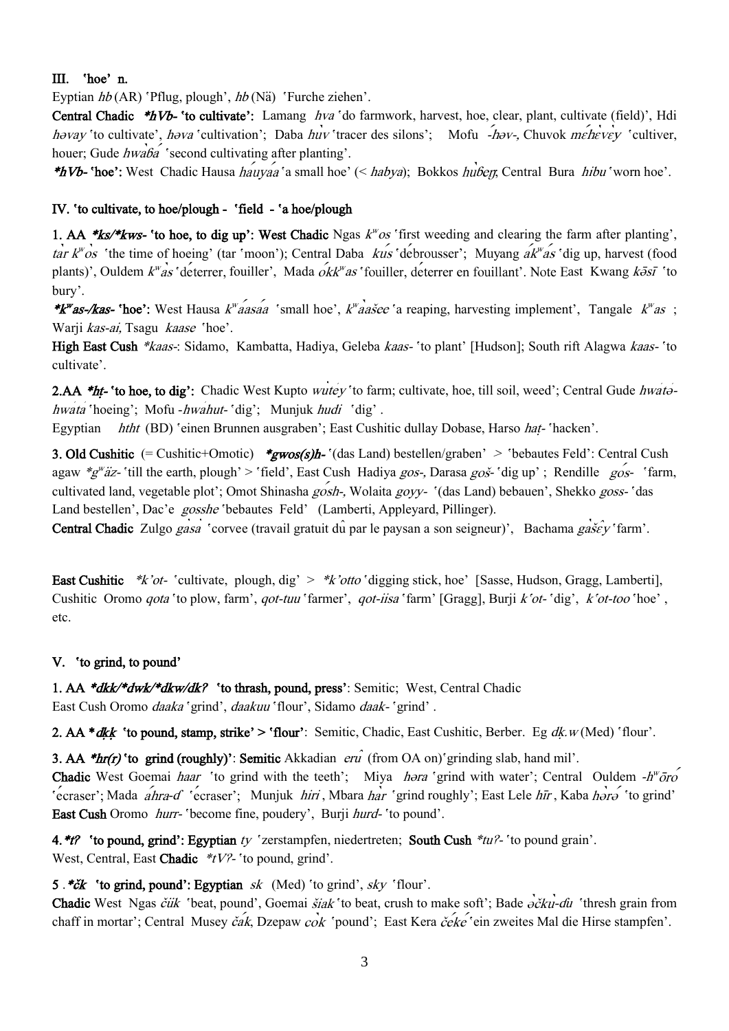## III. `hoe' n.

Eyptian hb (AR) `Pflug, plough', hb (Nӓ) `Furche ziehen'.

Central Chadic \*hVb- 'to cultivate': Lamang hva 'do farmwork, harvest, hoe, clear, plant, cultivate (field)', Hdi həvay 'to cultivate', həva 'cultivation'; Daba huv 'tracer des silons'; Mofu - həv-, Chuvok mehevev 'cultiver, houer; Gude  $h w a b a$  'second cultivating after planting'.

**\*hVb-** 'hoe': West Chadic Hausa hauyaa 'a small hoe' (< habya); Bokkos huber, Central Bura hibu 'worn hoe'.

### IV. `to cultivate, to hoe/plough - `field - `a hoe/plough

1. AA \*ks/\*kws- 'to hoe, to dig up': West Chadic Ngas  $k^w \circ s$  'first weeding and clearing the farm after planting', "os 'the time of hoeing' (tar 'moon'); Central Daba kus 'debrousser'; Muyang  $ak^{\prime\prime}$ as 'dig up, harvest (food plants)', Ouldem *k<sup>w</sup>as* 'deterrer, fouiller', Mada *okk<sup>w</sup>as* 'fouiller, deterrer en fouillant'. Note East Kwang *k* $\bar{\delta}s\bar{\delta}$  'to bury'.

\***k**"as-/kas- 'hoe': West Hausa k<sup>w</sup>aasaa 'small hoe', k<sup>w</sup>aasee 'a reaping, harvesting implement', Tangale k<sup>w</sup>as; Warji kas-ai, Tsagu kaase 'hoe'.

High East Cush \*kaas-: Sidamo, Kambatta, Hadiya, Geleba kaas- 'to plant' [Hudson]; South rift Alagwa kaas- 'to cultivate'.

2.AA \*ht- 'to hoe, to dig': Chadic West Kupto wutey 'to farm; cultivate, hoe, till soil, weed'; Central Gude hwatahwata 'hoeing'; Mofu -hwahut- 'dig'; Munjuk hudi 'dig'.

Egyptian htht (BD) 'einen Brunnen ausgraben'; East Cushitic dullay Dobase, Harso hat-'hacken'.

3. Old Cushitic (= Cushitic+Omotic) \*gwos(s)h- $\cdot$ (das Land) bestellen/graben' > 'bebautes Feld': Central Cush agaw  $*g''$ äz- 'till the earth, plough' > 'field', East Cush Hadiya gos-, Darasa goš- 'dig up' ; Rendille gos- 'farm, cultivated land, vegetable plot'; Omot Shinasha *gosh*-, Wolaita *goyy*- '(das Land) bebauen', Shekko *goss*- 'das Land bestellen', Dac'e gosshe 'bebautes Feld' (Lamberti, Appleyard, Pillinger).

Central Chadic Zulgo gasa 'corvee (travail gratuit du par le paysan a son seigneur)', Bachama gašev 'farm'.

East Cushitic  $*k'ot$ - 'cultivate, plough, dig'  $> *k'otto$  'digging stick, hoe' [Sasse, Hudson, Gragg, Lamberti], Cushitic Oromo *qota* 'to plow, farm', *qot-tuu* 'farmer', *qot-iisa* 'farm' [Gragg], Burji k'ot- 'dig', k'ot-too 'hoe', etc.

### V. `to grind, to pound'

1. AA \*dkk/\*dwk/\*dkw/dk? 'to thrash, pound, press': Semitic; West, Central Chadic East Cush Oromo *daaka* 'grind', *daakuu* 'flour', Sidamo *daak*- 'grind'.

2. AA \**dkk* 'to pound, stamp, strike' > 'flour': Semitic, Chadic, East Cushitic, Berber. Eg dk.w (Med) 'flour'.

**3. AA \*hr(r) 'to grind (roughly)': Semitic** Akkadian  $\text{er} \hat{u}$  (from OA on)'grinding slab, hand mil'.

**Chadic** West Goemai *haar* 'to grind with the teeth'; Miya *hora* 'grind with water'; Central Ouldem  $-h^w\overline{o}ro$ 'ecraser'; Mada  $a'$ hra-d' 'ecraser'; Munjuk *hiri*, Mbara har 'grind roughly'; East Lele hir, Kaba horo 'to grind' East Cush Oromo *hurr*- 'become fine, poudery', Burji *hurd*- 'to pound'.

4. *\*t* $\ell$  'to pound, grind': Egyptian ty 'zerstampfen, niedertreten; South Cush *\*tu*<sup>2</sup>- 'to pound grain'. West, Central, East Chadic  $*$ tV?- 'to pound, grind'.

5 .\* $\check{c}\check{k}$  'to grind, pound': Egyptian sk (Med) 'to grind', sky 'flour'.

Chadic West Ngas čük 'beat, pound', Goemai šiak 'to beat, crush to make soft'; Bade  $\partial \check{c}k\vec{u}$ -du 'thresh grain from chaff in mortar'; Central Musey čak, Dzepaw cok 'pound'; East Kera čeke 'ein zweites Mal die Hirse stampfen'.